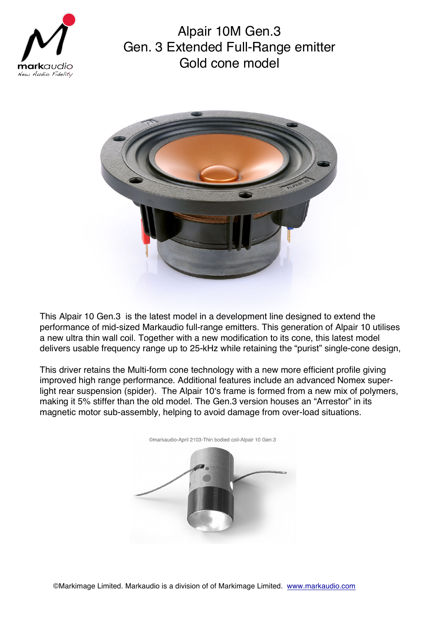

Alpair 10M Gen.3 Gen. 3 Extended Full-Range emitter Gold cone model



This Alpair 10 Gen.3 is the latest model in a development line designed to extend the performance of mid-sized Markaudio full-range emitters. This generation of Alpair 10 utilises a new ultra thin wall coil. Together with a new modification to its cone, this latest model delivers usable frequency range up to 25-kHz while retaining the "purist" single-cone design,

This driver retains the Multi-form cone technology with a new more efficient profile giving improved high range performance. Additional features include an advanced Nomex superlight rear suspension (spider). The Alpair 10's frame is formed from a new mix of polymers, making it 5% stiffer than the old model. The Gen.3 version houses an "Arrestor" in its magnetic motor sub-assembly, helping to avoid damage from over-load situations.



©markaudio-April 2103-Thin bodied coil-Alpair 10 Gen.3